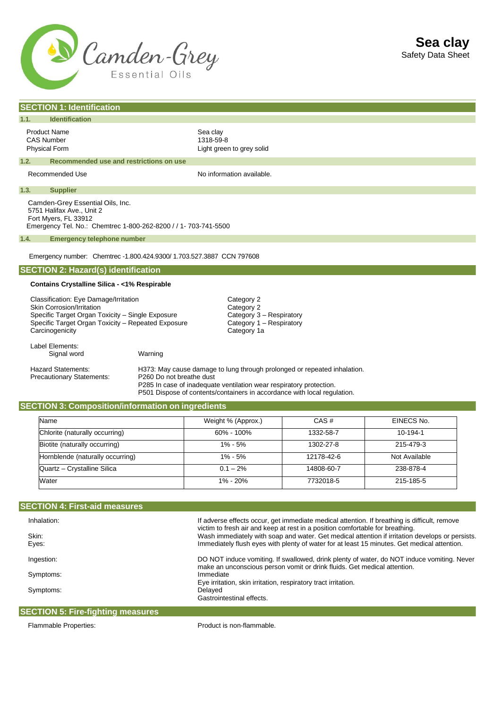

| <b>SECTION 1: Identification</b>                                                                                                                                                                |                                                                                                                                                                                                                                                         |  |  |  |
|-------------------------------------------------------------------------------------------------------------------------------------------------------------------------------------------------|---------------------------------------------------------------------------------------------------------------------------------------------------------------------------------------------------------------------------------------------------------|--|--|--|
| <b>Identification</b><br>1.1.                                                                                                                                                                   |                                                                                                                                                                                                                                                         |  |  |  |
| <b>Product Name</b><br><b>CAS Number</b><br><b>Physical Form</b>                                                                                                                                | Sea clay<br>1318-59-8<br>Light green to grey solid                                                                                                                                                                                                      |  |  |  |
| 1.2.<br>Recommended use and restrictions on use                                                                                                                                                 |                                                                                                                                                                                                                                                         |  |  |  |
| Recommended Use                                                                                                                                                                                 | No information available.                                                                                                                                                                                                                               |  |  |  |
| 1.3.<br><b>Supplier</b>                                                                                                                                                                         |                                                                                                                                                                                                                                                         |  |  |  |
| Camden-Grey Essential Oils, Inc.<br>5751 Halifax Ave., Unit 2<br>Fort Myers, FL 33912<br>Emergency Tel. No.: Chemtrec 1-800-262-8200 / / 1- 703-741-5500                                        |                                                                                                                                                                                                                                                         |  |  |  |
| 1.4.<br><b>Emergency telephone number</b>                                                                                                                                                       |                                                                                                                                                                                                                                                         |  |  |  |
| Emergency number: Chemtrec -1.800.424.9300/ 1.703.527.3887 CCN 797608                                                                                                                           |                                                                                                                                                                                                                                                         |  |  |  |
| <b>SECTION 2: Hazard(s) identification</b>                                                                                                                                                      |                                                                                                                                                                                                                                                         |  |  |  |
| Contains Crystalline Silica - <1% Respirable                                                                                                                                                    |                                                                                                                                                                                                                                                         |  |  |  |
| Classification: Eye Damage/Irritation<br>Skin Corrosion/Irritation<br>Specific Target Organ Toxicity - Single Exposure<br>Specific Target Organ Toxicity - Repeated Exposure<br>Carcinogenicity | Category 2<br>Category 2<br>Category 3 - Respiratory<br>Category 1 - Respiratory<br>Category 1a                                                                                                                                                         |  |  |  |
| Label Elements:<br>Warning<br>Signal word                                                                                                                                                       |                                                                                                                                                                                                                                                         |  |  |  |
| <b>Hazard Statements:</b><br>Precautionary Statements:                                                                                                                                          | H373: May cause damage to lung through prolonged or repeated inhalation.<br>P260 Do not breathe dust<br>P285 In case of inadequate ventilation wear respiratory protection.<br>P501 Dispose of contents/containers in accordance with local regulation. |  |  |  |
| <b>SECTION 3: Composition/information on ingredients</b>                                                                                                                                        |                                                                                                                                                                                                                                                         |  |  |  |

| Name                             | Weight % (Approx.) | CAS#       | EINECS No.    |
|----------------------------------|--------------------|------------|---------------|
| Chlorite (naturally occurring)   | $60\% - 100\%$     | 1332-58-7  | 10-194-1      |
| Biotite (naturally occurring)    | $1\% - 5\%$        | 1302-27-8  | 215-479-3     |
| Hornblende (naturally occurring) | $1\% - 5\%$        | 12178-42-6 | Not Available |
| Quartz - Crystalline Silica      | $0.1 - 2\%$        | 14808-60-7 | 238-878-4     |
| Water                            | $1\% - 20\%$       | 7732018-5  | 215-185-5     |

| <b>SECTION 4: First-aid measures</b>                                    |                                                                                                                                                                               |
|-------------------------------------------------------------------------|-------------------------------------------------------------------------------------------------------------------------------------------------------------------------------|
| Inhalation:                                                             | If adverse effects occur, get immediate medical attention. If breathing is difficult, remove<br>victim to fresh air and keep at rest in a position comfortable for breathing. |
| Skin:                                                                   | Wash immediately with soap and water. Get medical attention if irritation develops or persists.                                                                               |
| Eyes:                                                                   | Immediately flush eyes with plenty of water for at least 15 minutes. Get medical attention.                                                                                   |
| Ingestion:                                                              | DO NOT induce vomiting. If swallowed, drink plenty of water, do NOT induce vomiting. Never<br>make an unconscious person vomit or drink fluids. Get medical attention.        |
| Symptoms:                                                               | Immediate                                                                                                                                                                     |
|                                                                         | Eye irritation, skin irritation, respiratory tract irritation.                                                                                                                |
| Symptoms:                                                               | Delaved                                                                                                                                                                       |
|                                                                         | Gastrointestinal effects.                                                                                                                                                     |
| $\mathsf{OPT} \cap \mathsf{N}$ is the finished magnetic of $\mathsf{C}$ |                                                                                                                                                                               |

### **SECTION 5: Fire-fighting measures**

Flammable Properties: extending the Product is non-flammable.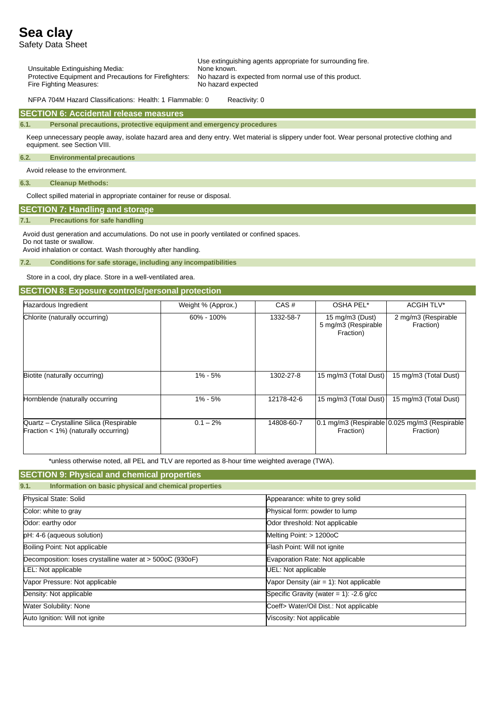Safety Data Sheet

Use extinguishing agents appropriate for surrounding fire. Unsuitable Extinguishing Media: Protective Equipment and Precautions for Firefighters: No hazard is expected from normal use of this product. Fire Fighting Measures: No hazard expected

NFPA 704M Hazard Classifications: Health: 1 Flammable: 0 Reactivity: 0

#### **SECTION 6: Accidental release measures**

**6.1. Personal precautions, protective equipment and emergency procedures**

Keep unnecessary people away, isolate hazard area and deny entry. Wet material is slippery under foot. Wear personal protective clothing and equipment. see Section VIII.

#### **6.2. Environmentalprecautions**

Avoid release to the environment.

**6.3. Cleanup Methods:**

Collect spilled material in appropriate container for reuse or disposal.

## **SECTION 7: Handling and storage**

#### **7.1. Precautions for safe handling**

Avoid dust generation and accumulations. Do not use in poorly ventilated or confined spaces.

Do not taste or swallow. Avoid inhalation or contact. Wash thoroughly after handling.

**7.2. Conditions for safe storage, including any incompatibilities**

Store in a cool, dry place. Store in a well-ventilated area.

### **SECTION 8: Exposure controls/personal protection**

| Hazardous Ingredient                                                              | Weight % (Approx.) | CAS#       | OSHA PEL*                                              | <b>ACGIH TLV*</b>                                          |
|-----------------------------------------------------------------------------------|--------------------|------------|--------------------------------------------------------|------------------------------------------------------------|
| Chlorite (naturally occurring)                                                    | 60% - 100%         | 1332-58-7  | 15 mg/m $3$ (Dust)<br>5 mg/m3 (Respirable<br>Fraction) | 2 mg/m3 (Respirable<br>Fraction)                           |
| Biotite (naturally occurring)                                                     | $1\% - 5\%$        | 1302-27-8  | 15 mg/m3 (Total Dust)                                  | 15 mg/m3 (Total Dust)                                      |
| Hornblende (naturally occurring                                                   | $1\% - 5\%$        | 12178-42-6 | 15 mg/m3 (Total Dust)                                  | 15 mg/m3 (Total Dust)                                      |
| Quartz - Crystalline Silica (Respirable<br>Fraction $<$ 1%) (naturally occurring) | $0.1 - 2\%$        | 14808-60-7 | Fraction)                                              | 0.1 mg/m3 (Respirable 0.025 mg/m3 (Respirable<br>Fraction) |

\*unless otherwise noted, all PEL and TLV are reported as 8-hour time weighted average (TWA).

## **SECTION 9: Physical and chemical properties**

| 9.1. |  | Information on basic physical and chemical properties |  |
|------|--|-------------------------------------------------------|--|
|      |  |                                                       |  |

| <b>Physical State: Solid</b>                              | Appearance: white to grey solid            |
|-----------------------------------------------------------|--------------------------------------------|
| Color: white to gray                                      | Physical form: powder to lump              |
| Odor: earthy odor                                         | Odor threshold: Not applicable             |
| pH: 4-6 (aqueous solution)                                | Melting Point: > 1200oC                    |
| Boiling Point: Not applicable                             | Flash Point: Will not ignite               |
| Decomposition: loses crystalline water at > 500oC (930oF) | Evaporation Rate: Not applicable           |
| LEL: Not applicable                                       | UEL: Not applicable                        |
| Vapor Pressure: Not applicable                            | Vapor Density (air $= 1$ ): Not applicable |
| Density: Not applicable                                   | Specific Gravity (water = $1$ ): -2.6 g/cc |
| <b>Water Solubility: None</b>                             | Coeff> Water/Oil Dist.: Not applicable     |
| Auto Ignition: Will not ignite                            | Viscosity: Not applicable                  |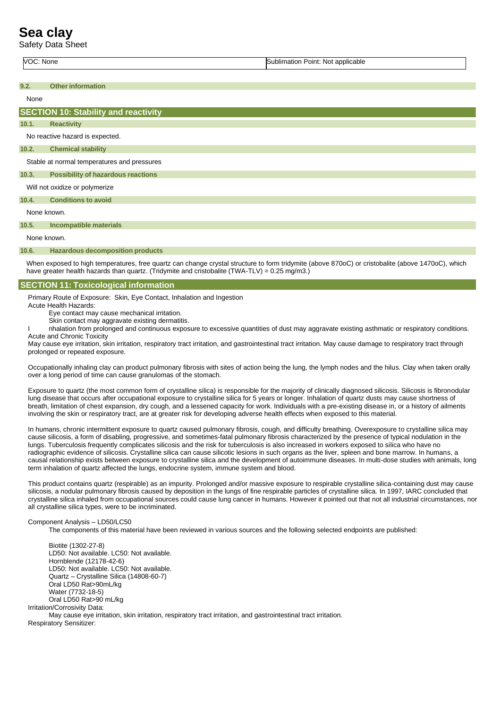Safety Data Sheet

VOC: None Sublimation Point: Not applicable

**9.2. Otherinformation**

None No reactive hazard is expected. Stable at normal temperatures and pressures Will not oxidize or polymerize None known. None known. **SECTION 10: Stability and reactivity 10.1. Reactivity 10.2. Chemical stability 10.3. Possibility of hazardous reactions 10.4. Conditions to avoid 10.5. Incompatible materials**

## **10.6. Hazardous decomposition products**

When exposed to high temperatures, free quartz can change crystal structure to form tridymite (above 870oC) or cristobalite (above 1470oC), which have greater health hazards than quartz. (Tridymite and cristobalite (TWA-TLV) = 0.25 mg/m3.)

#### **SECTION 11: Toxicological information**

Primary Route of Exposure: Skin, Eye Contact, Inhalation and Ingestion

Acute Health Hazards:

Eye contact may cause mechanical irritation. Skin contact may aggravate existing dermatitis.

nhalation from prolonged and continuous exposure to excessive quantities of dust may aggravate existing asthmatic or respiratory conditions. Acute and Chronic Toxicity

May cause eye irritation, skin irritation, respiratory tract irritation, and gastrointestinal tract irritation. May cause damage to respiratory tract through prolonged or repeated exposure.

Occupationally inhaling clay can product pulmonary fibrosis with sites of action being the lung, the lymph nodes and the hilus. Clay when taken orally over a long period of time can cause granulomas of the stomach.

Exposure to quartz (the most common form of crystalline silica) is responsible for the majority of clinically diagnosed silicosis. Silicosis is fibronodular lung disease that occurs after occupational exposure to crystalline silica for 5 years or longer. Inhalation of quartz dusts may cause shortness of breath, limitation of chest expansion, dry cough, and a lessened capacity for work. Individuals with a pre-existing disease in, or a history of ailments involving the skin or respiratory tract, are at greater risk for developing adverse health effects when exposed to this material.

In humans, chronic intermittent exposure to quartz caused pulmonary fibrosis, cough, and difficulty breathing. Overexposure to crystalline silica may cause silicosis, a form of disabling, progressive, and sometimes-fatal pulmonary fibrosis characterized by the presence of typical nodulation in the lungs. Tuberculosis frequently complicates silicosis and the risk for tuberculosis is also increased in workers exposed to silica who have no radiographic evidence of silicosis. Crystalline silica can cause silicotic lesions in such organs as the liver, spleen and bone marrow. In humans, a causal relationship exists between exposure to crystalline silica and the development of autoimmune diseases. In multi-dose studies with animals, long term inhalation of quartz affected the lungs, endocrine system, immune system and blood.

This product contains quartz (respirable) as an impurity. Prolonged and/or massive exposure to respirable crystalline silica-containing dust may cause silicosis, a nodular pulmonary fibrosis caused by deposition in the lungs of fine respirable particles of crystalline silica. In 1997, IARC concluded that crystalline silica inhaled from occupational sources could cause lung cancer in humans. However it pointed out that not all industrial circumstances, nor all crystalline silica types, were to be incriminated.

#### Component Analysis – LD50/LC50

The components of this material have been reviewed in various sources and the following selected endpoints are published:

Biotite (1302-27-8) LD50: Not available. LC50: Not available. Hornblende (12178-42-6) LD50: Not available. LC50: Not available. Quartz – Crystalline Silica (14808-60-7) Oral LD50 Rat>90mL/kg Water (7732-18-5) Oral LD50 Rat>90 mL/kg Irritation/Corrosivity Data: May cause eye irritation, skin irritation, respiratory tract irritation, and gastrointestinal tract irritation. Respiratory Sensitizer: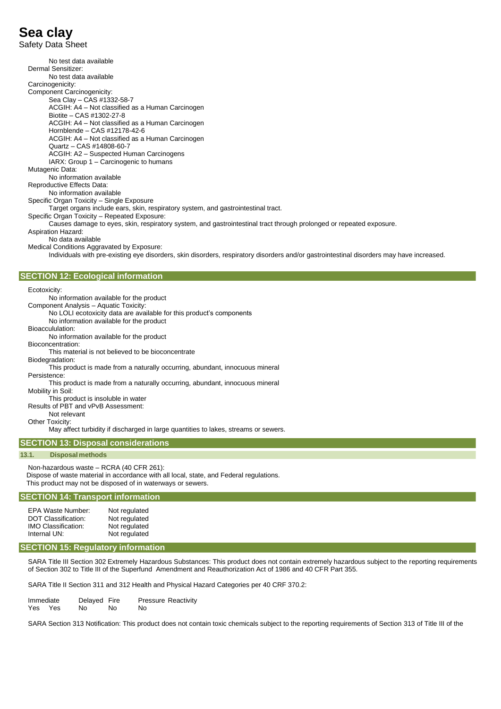Safety Data Sheet

No test data available Dermal Sensitizer: No test data available Carcinogenicity: Component Carcinogenicity: Sea Clay – CAS #1332-58-7 ACGIH: A4 – Not classified as a Human Carcinogen Biotite – CAS #1302-27-8 ACGIH: A4 – Not classified as a Human Carcinogen Hornblende – CAS #12178-42-6 ACGIH: A4 – Not classified as a Human Carcinogen Quartz – CAS #14808-60-7 ACGIH: A2 – Suspected Human Carcinogens IARX: Group 1 – Carcinogenic to humans Mutagenic Data: No information available Reproductive Effects Data: No information available Specific Organ Toxicity – Single Exposure Target organs include ears, skin, respiratory system, and gastrointestinal tract. Specific Organ Toxicity – Repeated Exposure: Causes damage to eyes, skin, respiratory system, and gastrointestinal tract through prolonged or repeated exposure. Aspiration Hazard: No data available Medical Conditions Aggravated by Exposure: Individuals with pre-existing eye disorders, skin disorders, respiratory disorders and/or gastrointestinal disorders may have increased. Ecotoxicity: No information available for the product Component Analysis – Aquatic Toxicity: No LOLI ecotoxicity data are available for this product's components No information available for the product Bioaccululation: No information available for the product Bioconcentration: This material is not believed to be bioconcentrate Biodegradation: This product is made from a naturally occurring, abundant, innocuous mineral Persistence: This product is made from a naturally occurring, abundant, innocuous mineral Mobility in Soil: This product is insoluble in water Results of PBT and vPvB Assessment: Not relevant Other Toxicity: May affect turbidity if discharged in large quantities to lakes, streams or sewers. **SECTION 12: Ecological information**

## **SECTION 13: Disposal considerations**

#### **13.1. Disposal methods**

Non-hazardous waste – RCRA (40 CFR 261): Dispose of waste material in accordance with all local, state, and Federal regulations. This product may not be disposed of in waterways or sewers.

### **SECTION 14: Transport information**

| EPA Waste Number:          | Not regulated |
|----------------------------|---------------|
| <b>DOT Classification:</b> | Not regulated |
| <b>IMO Classification:</b> | Not regulated |
| Internal UN:               | Not regulated |

#### **SECTION 15: Regulatory information**

SARA Title III Section 302 Extremely Hazardous Substances: This product does not contain extremely hazardous subject to the reporting requirements of Section 302 to Title III of the Superfund Amendment and Reauthorization Act of 1986 and 40 CFR Part 355.

SARA Title II Section 311 and 312 Health and Physical Hazard Categories per 40 CRF 370.2:

| Immediate |     | Delayed Fire |    | <b>Pressure Reactivity</b> |  |
|-----------|-----|--------------|----|----------------------------|--|
| Yes       | Yes | No.          | No | No                         |  |

SARA Section 313 Notification: This product does not contain toxic chemicals subject to the reporting requirements of Section 313 of Title III of the